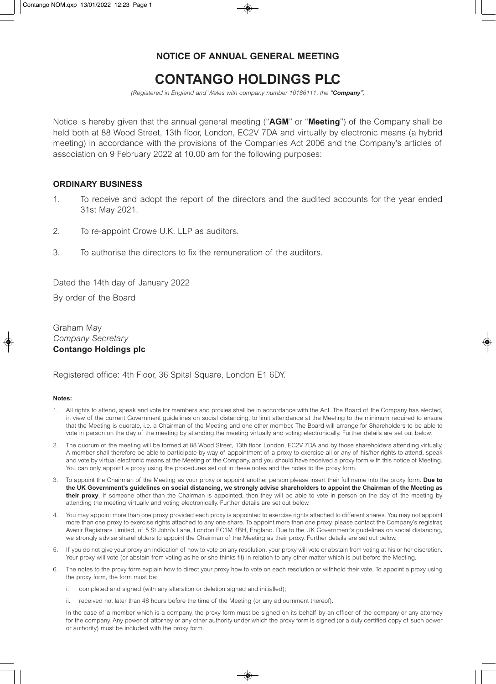## **NOTICE OF ANNUAL GENERAL MEETING**

## **CONTANGO HOLDINGS PLC**

*(Registered in England and Wales with company number 10186111, the "Company")* 

Notice is hereby given that the annual general meeting ("**AGM**" or "**Meeting**") of the Company shall be held both at 88 Wood Street, 13th floor, London, EC2V 7DA and virtually by electronic means (a hybrid meeting) in accordance with the provisions of the Companies Act 2006 and the Company's articles of association on 9 February 2022 at 10.00 am for the following purposes:

## **ORDINARY BUSINESS**

- 1. To receive and adopt the report of the directors and the audited accounts for the year ended 31st May 2021.
- 2. To re-appoint Crowe U.K. LLP as auditors.
- 3. To authorise the directors to fix the remuneration of the auditors.

Dated the 14th day of January 2022 By order of the Board

Graham May *Company Secretary*  **Contango Holdings plc** 

Registered office: 4th Floor, 36 Spital Square, London E1 6DY.

## **Notes:**

- 1. All rights to attend, speak and vote for members and proxies shall be in accordance with the Act. The Board of the Company has elected, in view of the current Government guidelines on social distancing, to limit attendance at the Meeting to the minimum required to ensure that the Meeting is quorate, i.e. a Chairman of the Meeting and one other member. The Board will arrange for Shareholders to be able to vote in person on the day of the meeting by attending the meeting virtually and voting electronically. Further details are set out below.
- 2. The quorum of the meeting will be formed at 88 Wood Street, 13th floor, London, EC2V 7DA and by those shareholders attending virtually. A member shall therefore be able to participate by way of appointment of a proxy to exercise all or any of his/her rights to attend, speak and vote by virtual electronic means at the Meeting of the Company, and you should have received a proxy form with this notice of Meeting. You can only appoint a proxy using the procedures set out in these notes and the notes to the proxy form.
- 3. To appoint the Chairman of the Meeting as your proxy or appoint another person please insert their full name into the proxy form. **Due to the UK Government's guidelines on social distancing, we strongly advise shareholders to appoint the Chairman of the Meeting as their proxy**. If someone other than the Chairman is appointed, then they will be able to vote in person on the day of the meeting by attending the meeting virtually and voting electronically. Further details are set out below.
- 4. You may appoint more than one proxy provided each proxy is appointed to exercise rights attached to different shares. You may not appoint more than one proxy to exercise rights attached to any one share. To appoint more than one proxy, please contact the Company's registrar, Avenir Registrars Limited, of 5 St John's Lane, London EC1M 4BH, England. Due to the UK Government's guidelines on social distancing, we strongly advise shareholders to appoint the Chairman of the Meeting as their proxy. Further details are set out below.
- 5. If you do not give your proxy an indication of how to vote on any resolution, your proxy will vote or abstain from voting at his or her discretion. Your proxy will vote (or abstain from voting as he or she thinks fit) in relation to any other matter which is put before the Meeting.
- 6. The notes to the proxy form explain how to direct your proxy how to vote on each resolution or withhold their vote. To appoint a proxy using the proxy form, the form must be:
	- i. completed and signed (with any alteration or deletion signed and initialled);
	- ii. received not later than 48 hours before the time of the Meeting (or any adjournment thereof).

 In the case of a member which is a company, the proxy form must be signed on its behalf by an officer of the company or any attorney for the company. Any power of attorney or any other authority under which the proxy form is signed (or a duly certified copy of such power or authority) must be included with the proxy form.